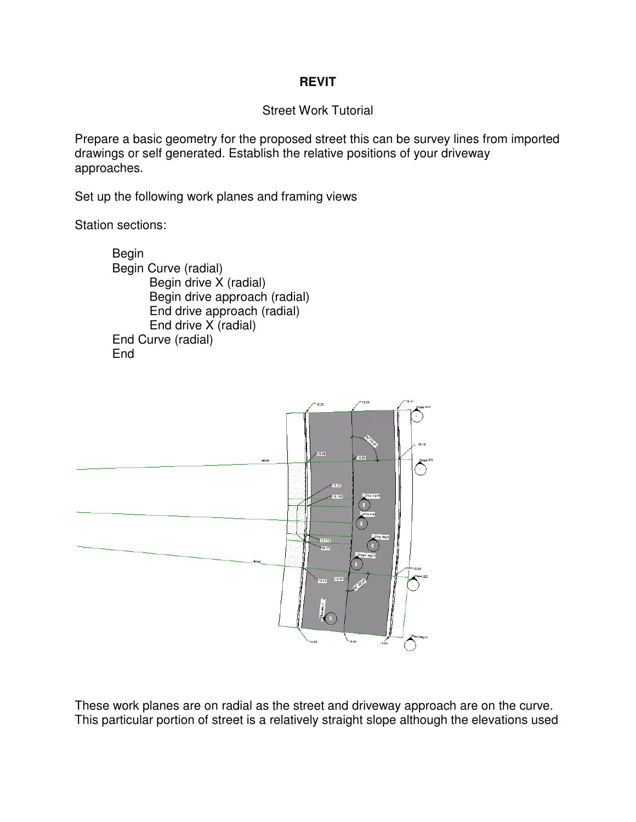## **REVIT**

## Street Work Tutorial

Prepare a basic geometry for the proposed street this can be survey lines from imported Prepare a basic geometry for the proposed street this can be survey lines fro<br>drawings or self generated. Establish the relative positions of your driveway approaches.

Set up the following work planes and framing views

Station sections:

 Begin Begin Curve (radial) Begin drive X (radial) Begin drive approach (radial) End drive approach (radial) End drive X (radial) End Curve (radial) **End** 



These work planes are on radial as the street and driveway approach are on the curve. These work planes are on radial as the street and driveway approach are on the curve.<br>This particular portion of street is a relatively straight slope although the elevations used